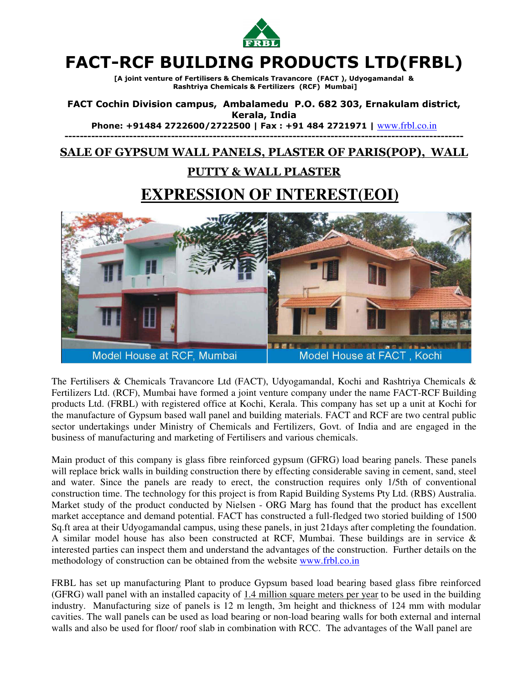

# FACT-RCF BUILDING PRODUCTS LTD(FRBL)

[A joint venture of Fertilisers & Chemicals Travancore (FACT ), Udyogamandal & Rashtriya Chemicals & Fertilizers (RCF) Mumbai]

#### FACT Cochin Division campus, Ambalamedu P.O. 682 303, Ernakulam district, Kerala, India

Phone: +91484 2722600/2722500 | Fax : +91 484 2721971 | www.frbl.co.in ---------------------------------------------------------------------------------------------------------

# SALE OF GYPSUM WALL PANELS, PLASTER OF PARIS(POP), WALL

# PUTTY & WALL PLASTER

# **EXPRESSION OF INTEREST(EOI)**



The Fertilisers & Chemicals Travancore Ltd (FACT), Udyogamandal, Kochi and Rashtriya Chemicals & Fertilizers Ltd. (RCF), Mumbai have formed a joint venture company under the name FACT-RCF Building products Ltd. (FRBL) with registered office at Kochi, Kerala. This company has set up a unit at Kochi for the manufacture of Gypsum based wall panel and building materials. FACT and RCF are two central public sector undertakings under Ministry of Chemicals and Fertilizers, Govt. of India and are engaged in the business of manufacturing and marketing of Fertilisers and various chemicals.

Main product of this company is glass fibre reinforced gypsum (GFRG) load bearing panels. These panels will replace brick walls in building construction there by effecting considerable saving in cement, sand, steel and water. Since the panels are ready to erect, the construction requires only 1/5th of conventional construction time. The technology for this project is from Rapid Building Systems Pty Ltd. (RBS) Australia. Market study of the product conducted by Nielsen - ORG Marg has found that the product has excellent market acceptance and demand potential. FACT has constructed a full-fledged two storied building of 1500 Sq.ft area at their Udyogamandal campus, using these panels, in just 21days after completing the foundation. A similar model house has also been constructed at RCF, Mumbai. These buildings are in service & interested parties can inspect them and understand the advantages of the construction. Further details on the methodology of construction can be obtained from the website www.frbl.co.in

FRBL has set up manufacturing Plant to produce Gypsum based load bearing based glass fibre reinforced (GFRG) wall panel with an installed capacity of 1.4 million square meters per year to be used in the building industry. Manufacturing size of panels is 12 m length, 3m height and thickness of 124 mm with modular cavities. The wall panels can be used as load bearing or non-load bearing walls for both external and internal walls and also be used for floor/ roof slab in combination with RCC. The advantages of the Wall panel are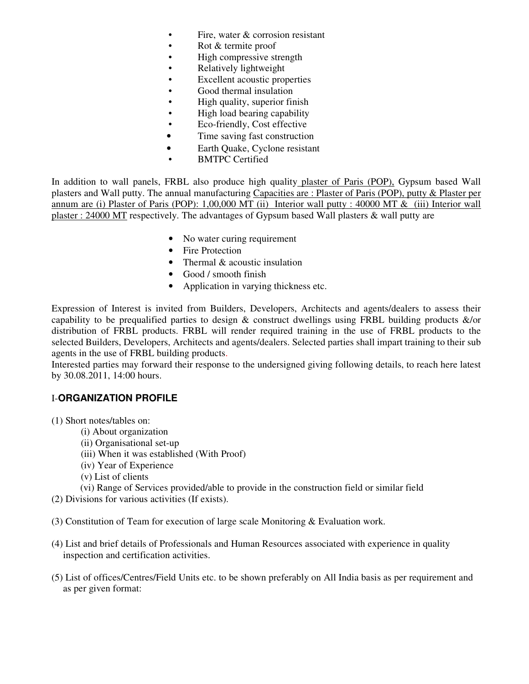- Fire, water & corrosion resistant
- Rot & termite proof
- High compressive strength
- Relatively lightweight
- Excellent acoustic properties
- Good thermal insulation
- High quality, superior finish
- High load bearing capability
- Eco-friendly, Cost effective
- Time saving fast construction
- Earth Quake, Cyclone resistant
- **BMTPC Certified**

In addition to wall panels, FRBL also produce high quality plaster of Paris (POP), Gypsum based Wall plasters and Wall putty. The annual manufacturing Capacities are : Plaster of Paris (POP), putty & Plaster per annum are (i) Plaster of Paris (POP): 1,00,000 MT (ii) Interior wall putty : 40000 MT & (iii) Interior wall plaster : 24000 MT respectively. The advantages of Gypsum based Wall plasters & wall putty are

- No water curing requirement
- Fire Protection
- Thermal & acoustic insulation
- Good / smooth finish
- Application in varying thickness etc.

Expression of Interest is invited from Builders, Developers, Architects and agents/dealers to assess their capability to be prequalified parties to design & construct dwellings using FRBL building products &/or distribution of FRBL products. FRBL will render required training in the use of FRBL products to the selected Builders, Developers, Architects and agents/dealers. Selected parties shall impart training to their sub agents in the use of FRBL building products.

Interested parties may forward their response to the undersigned giving following details, to reach here latest by 30.08.2011, 14:00 hours.

#### I-**ORGANIZATION PROFILE**

- (1) Short notes/tables on:
	- (i) About organization
	- (ii) Organisational set-up
	- (iii) When it was established (With Proof)
	- (iv) Year of Experience
	- (v) List of clients

(vi) Range of Services provided/able to provide in the construction field or similar field

(2) Divisions for various activities (If exists).

(3) Constitution of Team for execution of large scale Monitoring & Evaluation work.

- (4) List and brief details of Professionals and Human Resources associated with experience in quality inspection and certification activities.
- (5) List of offices/Centres/Field Units etc. to be shown preferably on All India basis as per requirement and as per given format: